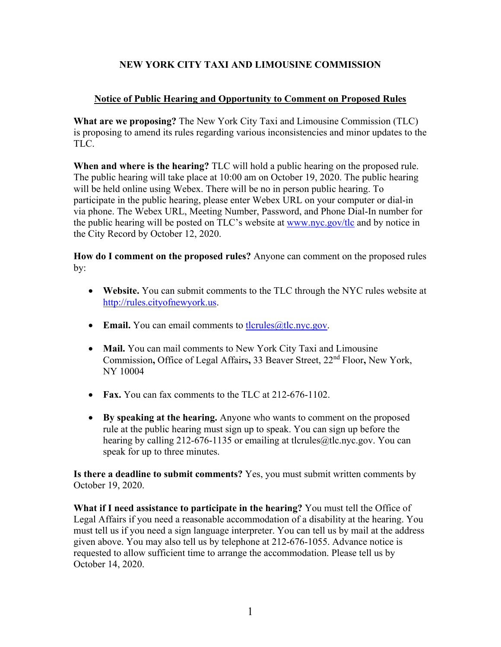# **NEW YORK CITY TAXI AND LIMOUSINE COMMISSION**

# **Notice of Public Hearing and Opportunity to Comment on Proposed Rules**

**What are we proposing?** The New York City Taxi and Limousine Commission (TLC) is proposing to amend its rules regarding various inconsistencies and minor updates to the TLC.

**When and where is the hearing?** TLC will hold a public hearing on the proposed rule. The public hearing will take place at 10:00 am on October 19, 2020. The public hearing will be held online using Webex. There will be no in person public hearing. To participate in the public hearing, please enter Webex URL on your computer or dial-in via phone. The Webex URL, Meeting Number, Password, and Phone Dial-In number for the public hearing will be posted on TLC's website at www.nyc.gov/tlc and by notice in the City Record by October 12, 2020.

**How do I comment on the proposed rules?** Anyone can comment on the proposed rules by:

- **Website.** You can submit comments to the TLC through the NYC rules website at http://rules.cityofnewyork.us.
- **Email.** You can email comments to  $t$ lcrules $@t$ lc.nyc.gov.
- **Mail.** You can mail comments to New York City Taxi and Limousine Commission**,** Office of Legal Affairs**,** 33 Beaver Street, 22nd Floor**,** New York, NY 10004
- Fax. You can fax comments to the TLC at 212-676-1102.
- **By speaking at the hearing.** Anyone who wants to comment on the proposed rule at the public hearing must sign up to speak. You can sign up before the hearing by calling 212-676-1135 or emailing at tlcrules@tlc.nyc.gov. You can speak for up to three minutes.

**Is there a deadline to submit comments?** Yes, you must submit written comments by October 19, 2020.

**What if I need assistance to participate in the hearing?** You must tell the Office of Legal Affairs if you need a reasonable accommodation of a disability at the hearing. You must tell us if you need a sign language interpreter. You can tell us by mail at the address given above. You may also tell us by telephone at 212-676-1055. Advance notice is requested to allow sufficient time to arrange the accommodation. Please tell us by October 14, 2020.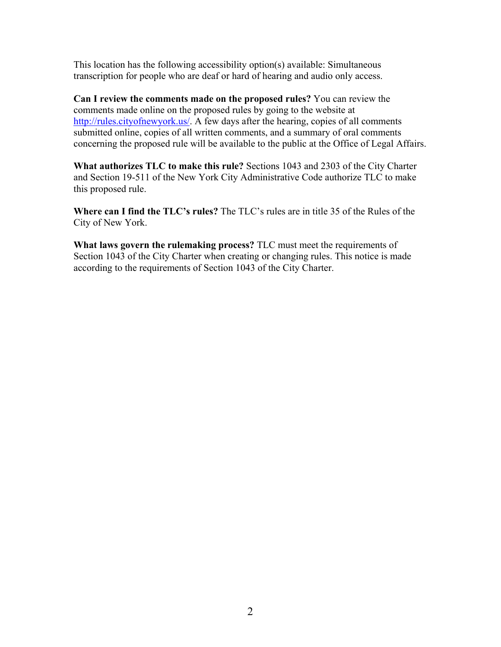This location has the following accessibility option(s) available: Simultaneous transcription for people who are deaf or hard of hearing and audio only access.

**Can I review the comments made on the proposed rules?** You can review the comments made online on the proposed rules by going to the website at http://rules.cityofnewyork.us/. A few days after the hearing, copies of all comments submitted online, copies of all written comments, and a summary of oral comments concerning the proposed rule will be available to the public at the Office of Legal Affairs.

**What authorizes TLC to make this rule?** Sections 1043 and 2303 of the City Charter and Section 19-511 of the New York City Administrative Code authorize TLC to make this proposed rule.

**Where can I find the TLC's rules?** The TLC's rules are in title 35 of the Rules of the City of New York.

**What laws govern the rulemaking process?** TLC must meet the requirements of Section 1043 of the City Charter when creating or changing rules. This notice is made according to the requirements of Section 1043 of the City Charter.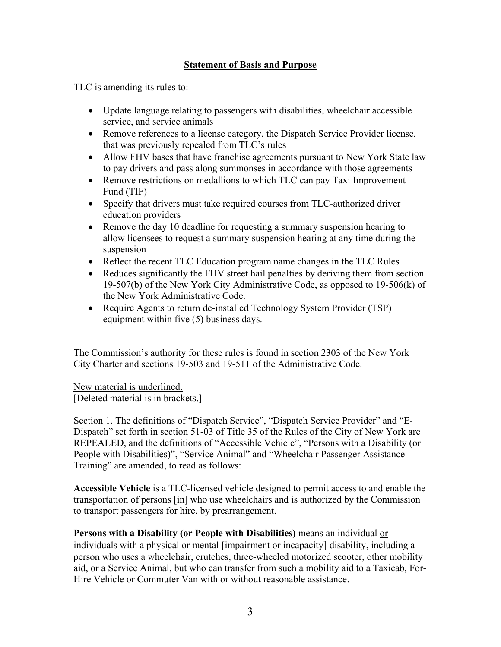## **Statement of Basis and Purpose**

TLC is amending its rules to:

- Update language relating to passengers with disabilities, wheelchair accessible service, and service animals
- Remove references to a license category, the Dispatch Service Provider license, that was previously repealed from TLC's rules
- Allow FHV bases that have franchise agreements pursuant to New York State law to pay drivers and pass along summonses in accordance with those agreements
- Remove restrictions on medallions to which TLC can pay Taxi Improvement Fund (TIF)
- Specify that drivers must take required courses from TLC-authorized driver education providers
- Remove the day 10 deadline for requesting a summary suspension hearing to allow licensees to request a summary suspension hearing at any time during the suspension
- Reflect the recent TLC Education program name changes in the TLC Rules
- Reduces significantly the FHV street hail penalties by deriving them from section 19-507(b) of the New York City Administrative Code, as opposed to 19-506(k) of the New York Administrative Code.
- Require Agents to return de-installed Technology System Provider (TSP) equipment within five (5) business days.

The Commission's authority for these rules is found in section 2303 of the New York City Charter and sections 19-503 and 19-511 of the Administrative Code.

New material is underlined. [Deleted material is in brackets.]

Section 1. The definitions of "Dispatch Service", "Dispatch Service Provider" and "E-Dispatch" set forth in section 51-03 of Title 35 of the Rules of the City of New York are REPEALED, and the definitions of "Accessible Vehicle", "Persons with a Disability (or People with Disabilities)", "Service Animal" and "Wheelchair Passenger Assistance Training" are amended, to read as follows:

**Accessible Vehicle** is a TLC-licensed vehicle designed to permit access to and enable the transportation of persons [in] who use wheelchairs and is authorized by the Commission to transport passengers for hire, by prearrangement.

**Persons with a Disability (or People with Disabilities)** means an individual or individuals with a physical or mental [impairment or incapacity] disability, including a person who uses a wheelchair, crutches, three-wheeled motorized scooter, other mobility aid, or a Service Animal, but who can transfer from such a mobility aid to a Taxicab, For-Hire Vehicle or Commuter Van with or without reasonable assistance.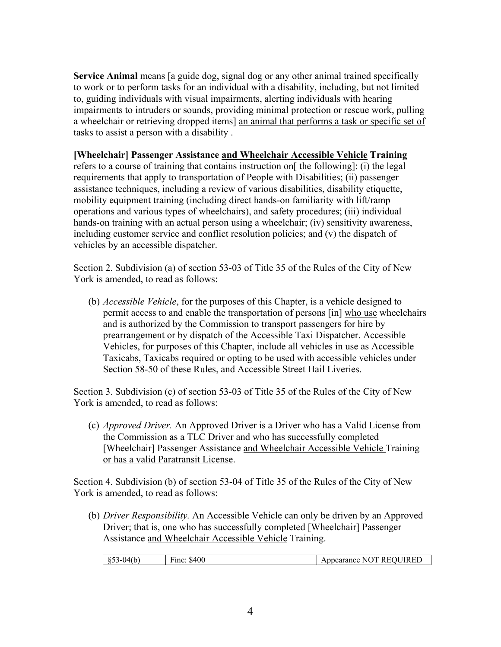**Service Animal** means [a guide dog, signal dog or any other animal trained specifically to work or to perform tasks for an individual with a disability, including, but not limited to, guiding individuals with visual impairments, alerting individuals with hearing impairments to intruders or sounds, providing minimal protection or rescue work, pulling a wheelchair or retrieving dropped items] an animal that performs a task or specific set of tasks to assist a person with a disability .

## **[Wheelchair] Passenger Assistance and Wheelchair Accessible Vehicle Training**

refers to a course of training that contains instruction on[ the following]: (i) the legal requirements that apply to transportation of People with Disabilities; (ii) passenger assistance techniques, including a review of various disabilities, disability etiquette, mobility equipment training (including direct hands-on familiarity with lift/ramp operations and various types of wheelchairs), and safety procedures; (iii) individual hands-on training with an actual person using a wheelchair; (iv) sensitivity awareness, including customer service and conflict resolution policies; and (v) the dispatch of vehicles by an accessible dispatcher.

Section 2. Subdivision (a) of section 53-03 of Title 35 of the Rules of the City of New York is amended, to read as follows:

(b) *Accessible Vehicle*, for the purposes of this Chapter, is a vehicle designed to permit access to and enable the transportation of persons [in] who use wheelchairs and is authorized by the Commission to transport passengers for hire by prearrangement or by dispatch of the Accessible Taxi Dispatcher. Accessible Vehicles, for purposes of this Chapter, include all vehicles in use as Accessible Taxicabs, Taxicabs required or opting to be used with accessible vehicles under Section 58-50 of these Rules, and Accessible Street Hail Liveries.

Section 3. Subdivision (c) of section 53-03 of Title 35 of the Rules of the City of New York is amended, to read as follows:

(c) *Approved Driver.* An Approved Driver is a Driver who has a Valid License from the Commission as a TLC Driver and who has successfully completed [Wheelchair] Passenger Assistance and Wheelchair Accessible Vehicle Training or has a valid Paratransit License.

Section 4. Subdivision (b) of section 53-04 of Title 35 of the Rules of the City of New York is amended, to read as follows:

(b) *Driver Responsibility.* An Accessible Vehicle can only be driven by an Approved Driver; that is, one who has successfully completed [Wheelchair] Passenger Assistance and Wheelchair Accessible Vehicle Training.

|  | $-$<br>(b)<br>r <sub>ine</sub> .<br>۰.<br>$\cdot$<br>ັ້ | \$400 | JUREE<br>D<br>м<br>NO.<br>Η<br>$n$ nnearance<br>$\mathbf{K}$ . |
|--|---------------------------------------------------------|-------|----------------------------------------------------------------|
|--|---------------------------------------------------------|-------|----------------------------------------------------------------|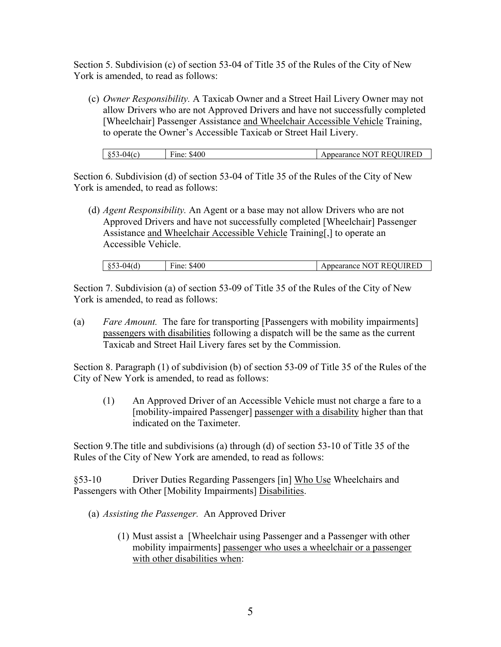Section 5. Subdivision (c) of section 53-04 of Title 35 of the Rules of the City of New York is amended, to read as follows:

(c) *Owner Responsibility.* A Taxicab Owner and a Street Hail Livery Owner may not allow Drivers who are not Approved Drivers and have not successfully completed [Wheelchair] Passenger Assistance and Wheelchair Accessible Vehicle Training, to operate the Owner's Accessible Taxicab or Street Hail Livery.

| $^{\circ}$ $^{\circ}$<br>\$400<br>، 41، 3-<br>rine <sup>.</sup><br>. v.,<br>ັ | I IIR EF<br>REC<br>эL<br>NC.<br>Appearance<br>.<br>. |
|-------------------------------------------------------------------------------|------------------------------------------------------|
|-------------------------------------------------------------------------------|------------------------------------------------------|

Section 6. Subdivision (d) of section 53-04 of Title 35 of the Rules of the City of New York is amended, to read as follows:

(d) *Agent Responsibility.* An Agent or a base may not allow Drivers who are not Approved Drivers and have not successfully completed [Wheelchair] Passenger Assistance and Wheelchair Accessible Vehicle Training[,] to operate an Accessible Vehicle.

| 14 C<br>u<br>ະ - - | \$400<br>r ine | <b>HREE</b><br>)I<br>، تا د<br>poearance<br>$\mathbf{N}$<br>КL. |
|--------------------|----------------|-----------------------------------------------------------------|
|                    |                |                                                                 |

Section 7. Subdivision (a) of section 53-09 of Title 35 of the Rules of the City of New York is amended, to read as follows:

(a) *Fare Amount.* The fare for transporting [Passengers with mobility impairments] passengers with disabilities following a dispatch will be the same as the current Taxicab and Street Hail Livery fares set by the Commission.

Section 8. Paragraph (1) of subdivision (b) of section 53-09 of Title 35 of the Rules of the City of New York is amended, to read as follows:

(1) An Approved Driver of an Accessible Vehicle must not charge a fare to a [mobility-impaired Passenger] passenger with a disability higher than that indicated on the Taximeter.

Section 9.The title and subdivisions (a) through (d) of section 53-10 of Title 35 of the Rules of the City of New York are amended, to read as follows:

§53-10 Driver Duties Regarding Passengers [in] Who Use Wheelchairs and Passengers with Other [Mobility Impairments] Disabilities.

- (a) *Assisting the Passenger.* An Approved Driver
	- (1) Must assist a [Wheelchair using Passenger and a Passenger with other mobility impairments] passenger who uses a wheelchair or a passenger with other disabilities when: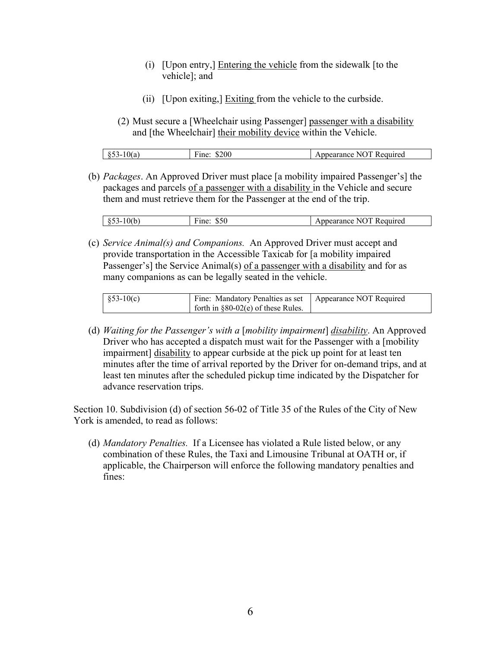- (i) [Upon entry,] Entering the vehicle from the sidewalk [to the vehicle]; and
- (ii) [Upon exiting,] Exiting from the vehicle to the curbside.
- (2) Must secure a [Wheelchair using Passenger] passenger with a disability and [the Wheelchair] their mobility device within the Vehicle.

| ∼-<br>ັ້ | \$200<br>ine: | . .<br>nearance "<br>Required<br>NG. |
|----------|---------------|--------------------------------------|

(b) *Packages*. An Approved Driver must place [a mobility impaired Passenger's] the packages and parcels of a passenger with a disability in the Vehicle and secure them and must retrieve them for the Passenger at the end of the trip.

| 0(b)<br>e 50 | \$50     | NOT .                           |
|--------------|----------|---------------------------------|
| 995<br>∼-    | $r$ ine: | Appearance b<br><b>Required</b> |

(c) *Service Animal(s) and Companions.* An Approved Driver must accept and provide transportation in the Accessible Taxicab for [a mobility impaired Passenger's] the Service Animal(s) of a passenger with a disability and for as many companions as can be legally seated in the vehicle.

| $\frac{1}{2}$ \$53-10(c) | Fine: Mandatory Penalties as set   Appearance NOT Required |  |
|--------------------------|------------------------------------------------------------|--|
|                          | forth in $\S 80-02(e)$ of these Rules.                     |  |

(d) *Waiting for the Passenger's with a* [*mobility impairment*] *disability*. An Approved Driver who has accepted a dispatch must wait for the Passenger with a [mobility impairment] disability to appear curbside at the pick up point for at least ten minutes after the time of arrival reported by the Driver for on-demand trips, and at least ten minutes after the scheduled pickup time indicated by the Dispatcher for advance reservation trips.

Section 10. Subdivision (d) of section 56-02 of Title 35 of the Rules of the City of New York is amended, to read as follows:

(d) *Mandatory Penalties.* If a Licensee has violated a Rule listed below, or any combination of these Rules, the Taxi and Limousine Tribunal at OATH or, if applicable, the Chairperson will enforce the following mandatory penalties and fines: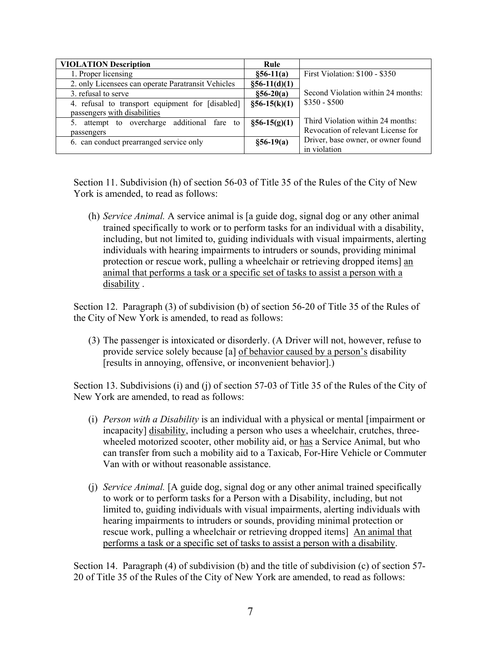| <b>VIOLATION Description</b>                       | Rule           |                                    |
|----------------------------------------------------|----------------|------------------------------------|
| 1. Proper licensing                                | $§56-11(a)$    | First Violation: \$100 - \$350     |
| 2. only Licensees can operate Paratransit Vehicles | $§56-11(d)(1)$ |                                    |
| 3. refusal to serve                                | $§56-20(a)$    | Second Violation within 24 months: |
| 4. refusal to transport equipment for [disabled]   | $§56-15(k)(1)$ | $$350 - $500$                      |
| passengers with disabilities                       |                |                                    |
| overcharge additional fare to<br>5. attempt to     | $§56-15(g)(1)$ | Third Violation within 24 months:  |
| passengers                                         |                | Revocation of relevant License for |
| 6. can conduct prearranged service only            | $§56-19(a)$    | Driver, base owner, or owner found |
|                                                    |                | in violation                       |

Section 11. Subdivision (h) of section 56-03 of Title 35 of the Rules of the City of New York is amended, to read as follows:

(h) *Service Animal.* A service animal is [a guide dog, signal dog or any other animal trained specifically to work or to perform tasks for an individual with a disability, including, but not limited to, guiding individuals with visual impairments, alerting individuals with hearing impairments to intruders or sounds, providing minimal protection or rescue work, pulling a wheelchair or retrieving dropped items] an animal that performs a task or a specific set of tasks to assist a person with a disability .

Section 12. Paragraph (3) of subdivision (b) of section 56-20 of Title 35 of the Rules of the City of New York is amended, to read as follows:

(3) The passenger is intoxicated or disorderly. (A Driver will not, however, refuse to provide service solely because [a] of behavior caused by a person's disability [results in annoying, offensive, or inconvenient behavior].)

Section 13. Subdivisions (i) and (j) of section 57-03 of Title 35 of the Rules of the City of New York are amended, to read as follows:

- (i) *Person with a Disability* is an individual with a physical or mental [impairment or incapacity] disability, including a person who uses a wheelchair, crutches, threewheeled motorized scooter, other mobility aid, or has a Service Animal, but who can transfer from such a mobility aid to a Taxicab, For-Hire Vehicle or Commuter Van with or without reasonable assistance.
- (j) *Service Animal.* [A guide dog, signal dog or any other animal trained specifically to work or to perform tasks for a Person with a Disability, including, but not limited to, guiding individuals with visual impairments, alerting individuals with hearing impairments to intruders or sounds, providing minimal protection or rescue work, pulling a wheelchair or retrieving dropped items] An animal that performs a task or a specific set of tasks to assist a person with a disability.

Section 14. Paragraph (4) of subdivision (b) and the title of subdivision (c) of section 57- 20 of Title 35 of the Rules of the City of New York are amended, to read as follows: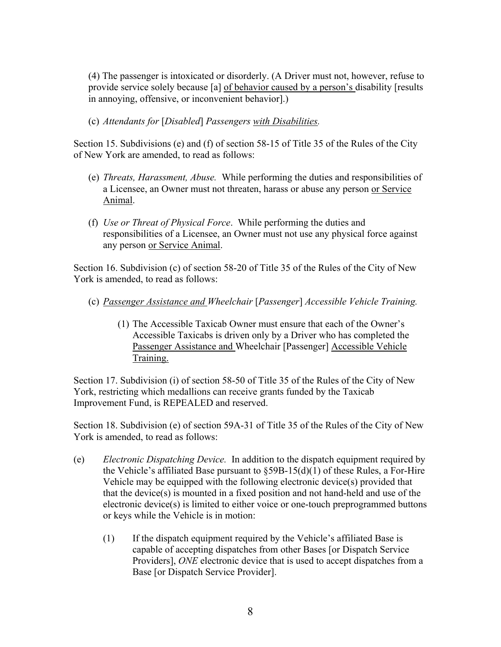(4) The passenger is intoxicated or disorderly. (A Driver must not, however, refuse to provide service solely because [a] of behavior caused by a person's disability [results in annoying, offensive, or inconvenient behavior].)

(c) *Attendants for* [*Disabled*] *Passengers with Disabilities.*

Section 15. Subdivisions (e) and (f) of section 58-15 of Title 35 of the Rules of the City of New York are amended, to read as follows:

- (e) *Threats, Harassment, Abuse.* While performing the duties and responsibilities of a Licensee, an Owner must not threaten, harass or abuse any person or Service Animal.
- (f) *Use or Threat of Physical Force*. While performing the duties and responsibilities of a Licensee, an Owner must not use any physical force against any person or Service Animal.

Section 16. Subdivision (c) of section 58-20 of Title 35 of the Rules of the City of New York is amended, to read as follows:

- (c) *Passenger Assistance and Wheelchair* [*Passenger*] *Accessible Vehicle Training.*
	- (1) The Accessible Taxicab Owner must ensure that each of the Owner's Accessible Taxicabs is driven only by a Driver who has completed the Passenger Assistance and Wheelchair [Passenger] Accessible Vehicle Training.

Section 17. Subdivision (i) of section 58-50 of Title 35 of the Rules of the City of New York, restricting which medallions can receive grants funded by the Taxicab Improvement Fund, is REPEALED and reserved.

Section 18. Subdivision (e) of section 59A-31 of Title 35 of the Rules of the City of New York is amended, to read as follows:

- (e) *Electronic Dispatching Device.* In addition to the dispatch equipment required by the Vehicle's affiliated Base pursuant to  $\S 59B-15(d)(1)$  of these Rules, a For-Hire Vehicle may be equipped with the following electronic device(s) provided that that the device(s) is mounted in a fixed position and not hand-held and use of the electronic device(s) is limited to either voice or one-touch preprogrammed buttons or keys while the Vehicle is in motion:
	- (1) If the dispatch equipment required by the Vehicle's affiliated Base is capable of accepting dispatches from other Bases [or Dispatch Service Providers], *ONE* electronic device that is used to accept dispatches from a Base [or Dispatch Service Provider].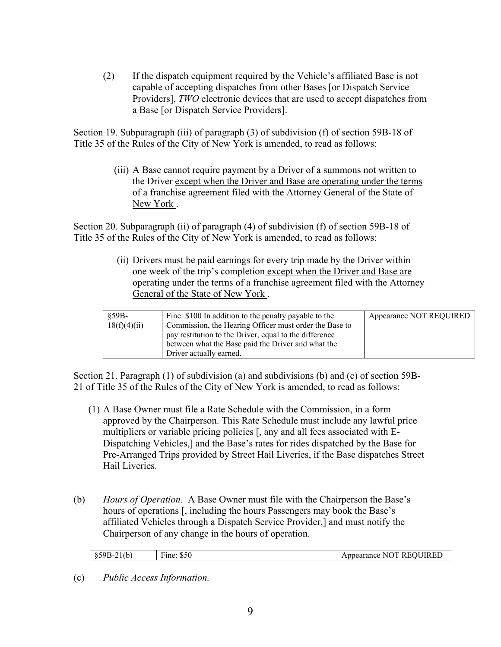(2) If the dispatch equipment required by the Vehicle's affiliated Base is not capable of accepting dispatches from other Bases [or Dispatch Service Providers], *TWO* electronic devices that are used to accept dispatches from a Base [or Dispatch Service Providers].

Section 19. Subparagraph (iii) of paragraph (3) of subdivision (f) of section 59B-18 of Title 35 of the Rules of the City of New York is amended, to read as follows:

> (iii) A Base cannot require payment by a Driver of a summons not written to the Driver except when the Driver and Base are operating under the terms of a franchise agreement filed with the Attorney General of the State of New York .

Section 20. Subparagraph (ii) of paragraph (4) of subdivision (f) of section 59B-18 of Title 35 of the Rules of the City of New York is amended, to read as follows:

> (ii) Drivers must be paid earnings for every trip made by the Driver within one week of the trip's completion except when the Driver and Base are operating under the terms of a franchise agreement filed with the Attorney General of the State of New York .

| $§$ 59B-<br>18(f)(4)(ii) | Fine: \$100 In addition to the penalty payable to the<br>Commission, the Hearing Officer must order the Base to<br>pay restitution to the Driver, equal to the difference | Appearance NOT REQUIRED |
|--------------------------|---------------------------------------------------------------------------------------------------------------------------------------------------------------------------|-------------------------|
|                          | between what the Base paid the Driver and what the<br>Driver actually earned.                                                                                             |                         |

Section 21. Paragraph (1) of subdivision (a) and subdivisions (b) and (c) of section 59B-21 of Title 35 of the Rules of the City of New York is amended, to read as follows:

- (1) A Base Owner must file a Rate Schedule with the Commission, in a form approved by the Chairperson. This Rate Schedule must include any lawful price multipliers or variable pricing policies [, any and all fees associated with E-Dispatching Vehicles,] and the Base's rates for rides dispatched by the Base for Pre-Arranged Trips provided by Street Hail Liveries, if the Base dispatches Street Hail Liveries.
- (b) *Hours of Operation.* A Base Owner must file with the Chairperson the Base's hours of operations [, including the hours Passengers may book the Base's affiliated Vehicles through a Dispatch Service Provider,] and must notify the Chairperson of any change in the hours of operation.

| $A - C$<br>-0R.<br>™OUIRE∟<br>ʻh<br>--------<br>$^{\prime}$ ine:<br>Appearance<br>мı<br>ധാ<br>NV.<br>ட<br>ر ، |
|---------------------------------------------------------------------------------------------------------------|
|---------------------------------------------------------------------------------------------------------------|

(c) *Public Access Information.*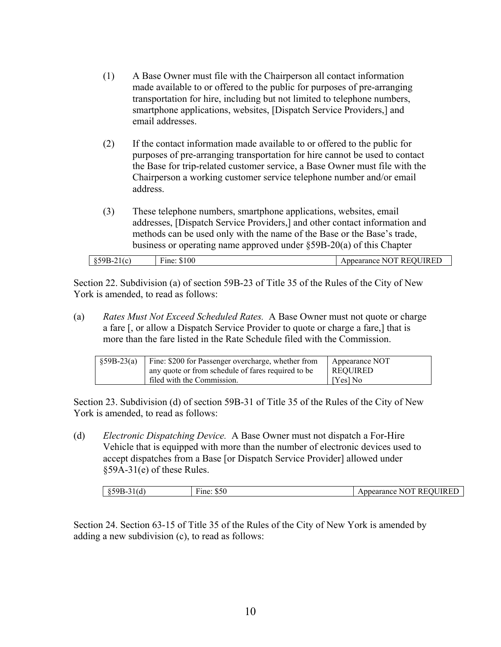- (1) A Base Owner must file with the Chairperson all contact information made available to or offered to the public for purposes of pre-arranging transportation for hire, including but not limited to telephone numbers, smartphone applications, websites, [Dispatch Service Providers,] and email addresses.
- (2) If the contact information made available to or offered to the public for purposes of pre-arranging transportation for hire cannot be used to contact the Base for trip-related customer service, a Base Owner must file with the Chairperson a working customer service telephone number and/or email address.
- (3) These telephone numbers, smartphone applications, websites, email addresses, [Dispatch Service Providers,] and other contact information and methods can be used only with the name of the Base or the Base's trade, business or operating name approved under §59B-20(a) of this Chapter

| :100<br>IR F<br>в.<br>r ine <sup>.</sup><br>earance<br>$\sim$<br>⊸nne∙<br>. н.<br>N.<br>. .<br> |
|-------------------------------------------------------------------------------------------------|
|-------------------------------------------------------------------------------------------------|

Section 22. Subdivision (a) of section 59B-23 of Title 35 of the Rules of the City of New York is amended, to read as follows:

(a) *Rates Must Not Exceed Scheduled Rates.* A Base Owner must not quote or charge a fare [, or allow a Dispatch Service Provider to quote or charge a fare,] that is more than the fare listed in the Rate Schedule filed with the Commission.

| $\S59B-23(a)$ Fine: \$200 for Passenger overcharge, whether from | Appearance NOT  |
|------------------------------------------------------------------|-----------------|
| any quote or from schedule of fares required to be               | <b>REQUIRED</b> |
| filed with the Commission.                                       | [Yes] No        |

Section 23. Subdivision (d) of section 59B-31 of Title 35 of the Rules of the City of New York is amended, to read as follows:

(d) *Electronic Dispatching Device.* A Base Owner must not dispatch a For-Hire Vehicle that is equipped with more than the number of electronic devices used to accept dispatches from a Base [or Dispatch Service Provider] allowed under §59A-31(e) of these Rules.

| . . | .<br>ıne<br>יי<br>ມ∠ບ | $\lceil$ $\lceil$ $\lceil$ $\lceil$ $\lceil$ $\lceil$ $\lceil$ $\lceil$ $\lceil$ $\lceil$ $\lceil$ $\lceil$ $\lceil$ $\lceil$ $\lceil$ $\lceil$ $\lceil$ $\lceil$ $\lceil$ $\lceil$ $\lceil$ $\lceil$ $\lceil$ $\lceil$ $\lceil$ $\lceil$ $\lceil$ $\lceil$ $\lceil$ $\lceil$ $\lceil$ $\lceil$ $\lceil$ $\lceil$ $\lceil$ $\lceil$ $\lceil$<br>'NU<br>к<br>-<br>nne<br>ىس<br>$\overline{\phantom{a}}$ |
|-----|-----------------------|--------------------------------------------------------------------------------------------------------------------------------------------------------------------------------------------------------------------------------------------------------------------------------------------------------------------------------------------------------------------------------------------------------|
|     |                       |                                                                                                                                                                                                                                                                                                                                                                                                        |

Section 24. Section 63-15 of Title 35 of the Rules of the City of New York is amended by adding a new subdivision (c), to read as follows: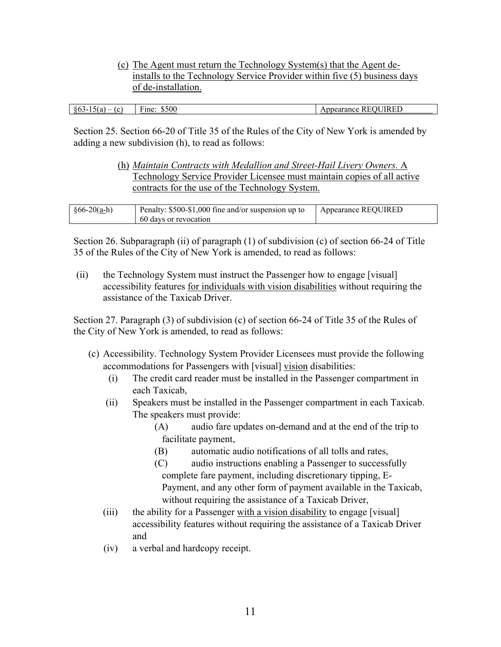(c) The Agent must return the Technology System(s) that the Agent deinstalls to the Technology Service Provider within five (5) business days of de-installation.

| ۵ŕ<br>`-<br>$\mathbf u$<br>ັ<br>. . | \$500<br>≀ine:<br>- - - | $\overline{\phantom{a}}$<br>IREL<br>ance<br>. н-<br><br>~w |
|-------------------------------------|-------------------------|------------------------------------------------------------|
|                                     |                         |                                                            |

Section 25. Section 66-20 of Title 35 of the Rules of the City of New York is amended by adding a new subdivision (h), to read as follows:

> (h) *Maintain Contracts with Medallion and Street-Hail Livery Owners.* A Technology Service Provider Licensee must maintain copies of all active contracts for the use of the Technology System.

| $§66-20(a-h)$ | Penalty: \$500-\$1,000 fine and/or suspension up to | Appearance REQUIRED |
|---------------|-----------------------------------------------------|---------------------|
|               | 60 days or revocation                               |                     |

Section 26. Subparagraph (ii) of paragraph (1) of subdivision (c) of section 66-24 of Title 35 of the Rules of the City of New York is amended, to read as follows:

(ii) the Technology System must instruct the Passenger how to engage [visual] accessibility features for individuals with vision disabilities without requiring the assistance of the Taxicab Driver.

Section 27. Paragraph (3) of subdivision (c) of section 66-24 of Title 35 of the Rules of the City of New York is amended, to read as follows:

- (c) Accessibility. Technology System Provider Licensees must provide the following accommodations for Passengers with [visual] vision disabilities:
	- (i) The credit card reader must be installed in the Passenger compartment in each Taxicab,
	- (ii) Speakers must be installed in the Passenger compartment in each Taxicab. The speakers must provide:
		- (A) audio fare updates on-demand and at the end of the trip to facilitate payment,
		- (B) automatic audio notifications of all tolls and rates,
		- (C) audio instructions enabling a Passenger to successfully complete fare payment, including discretionary tipping, E-Payment, and any other form of payment available in the Taxicab, without requiring the assistance of a Taxicab Driver,
	- (iii) the ability for a Passenger with a vision disability to engage [visual] accessibility features without requiring the assistance of a Taxicab Driver and
	- (iv) a verbal and hardcopy receipt.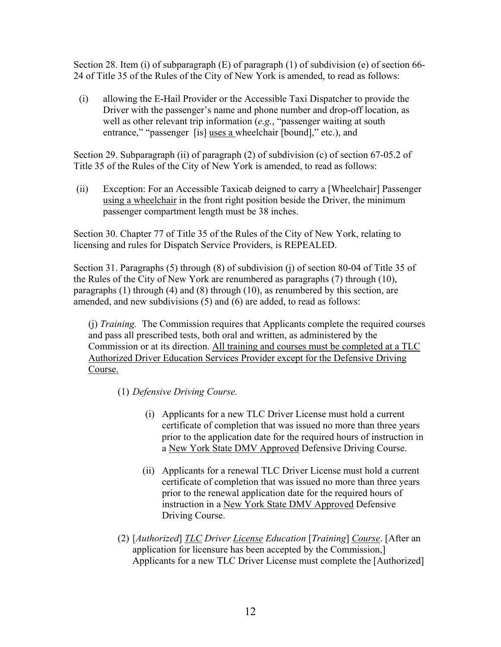Section 28. Item (i) of subparagraph (E) of paragraph (1) of subdivision (e) of section 66- 24 of Title 35 of the Rules of the City of New York is amended, to read as follows:

(i) allowing the E-Hail Provider or the Accessible Taxi Dispatcher to provide the Driver with the passenger's name and phone number and drop-off location, as well as other relevant trip information (*e.g.*, "passenger waiting at south entrance," "passenger [is] uses a wheelchair [bound]," etc.), and

Section 29. Subparagraph (ii) of paragraph (2) of subdivision (c) of section 67-05.2 of Title 35 of the Rules of the City of New York is amended, to read as follows:

(ii) Exception: For an Accessible Taxicab deigned to carry a [Wheelchair] Passenger using a wheelchair in the front right position beside the Driver, the minimum passenger compartment length must be 38 inches.

Section 30. Chapter 77 of Title 35 of the Rules of the City of New York, relating to licensing and rules for Dispatch Service Providers, is REPEALED.

Section 31. Paragraphs (5) through (8) of subdivision (j) of section 80-04 of Title 35 of the Rules of the City of New York are renumbered as paragraphs (7) through (10), paragraphs (1) through (4) and (8) through (10), as renumbered by this section, are amended, and new subdivisions (5) and (6) are added, to read as follows:

(j) *Training.* The Commission requires that Applicants complete the required courses and pass all prescribed tests, both oral and written, as administered by the Commission or at its direction. All training and courses must be completed at a TLC Authorized Driver Education Services Provider except for the Defensive Driving Course.

(1) *Defensive Driving Course.* 

- (i) Applicants for a new TLC Driver License must hold a current certificate of completion that was issued no more than three years prior to the application date for the required hours of instruction in a New York State DMV Approved Defensive Driving Course.
- (ii) Applicants for a renewal TLC Driver License must hold a current certificate of completion that was issued no more than three years prior to the renewal application date for the required hours of instruction in a New York State DMV Approved Defensive Driving Course.
- (2) [*Authorized*] *TLC Driver License Education* [*Training*] *Course*. [After an application for licensure has been accepted by the Commission,] Applicants for a new TLC Driver License must complete the [Authorized]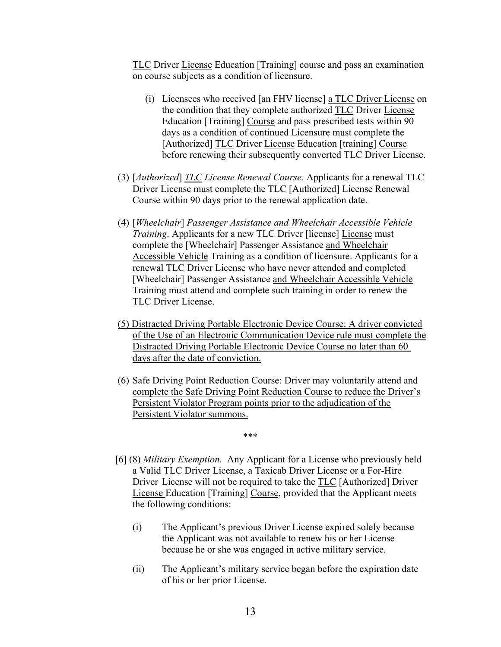TLC Driver License Education [Training] course and pass an examination on course subjects as a condition of licensure.

- (i) Licensees who received [an FHV license] a TLC Driver License on the condition that they complete authorized TLC Driver License Education [Training] Course and pass prescribed tests within 90 days as a condition of continued Licensure must complete the [Authorized] TLC Driver License Education [training] Course before renewing their subsequently converted TLC Driver License.
- (3) [*Authorized*] *TLC License Renewal Course*. Applicants for a renewal TLC Driver License must complete the TLC [Authorized] License Renewal Course within 90 days prior to the renewal application date.
- (4) [*Wheelchair*] *Passenger Assistance and Wheelchair Accessible Vehicle Training*. Applicants for a new TLC Driver [license] License must complete the [Wheelchair] Passenger Assistance and Wheelchair Accessible Vehicle Training as a condition of licensure. Applicants for a renewal TLC Driver License who have never attended and completed [Wheelchair] Passenger Assistance and Wheelchair Accessible Vehicle Training must attend and complete such training in order to renew the TLC Driver License.
- (5) Distracted Driving Portable Electronic Device Course: A driver convicted of the Use of an Electronic Communication Device rule must complete the Distracted Driving Portable Electronic Device Course no later than 60 days after the date of conviction.
- (6) Safe Driving Point Reduction Course: Driver may voluntarily attend and complete the Safe Driving Point Reduction Course to reduce the Driver's Persistent Violator Program points prior to the adjudication of the Persistent Violator summons.

\*\*\*

- [6] (8) *Military Exemption.* Any Applicant for a License who previously held a Valid TLC Driver License, a Taxicab Driver License or a For-Hire Driver License will not be required to take the TLC [Authorized] Driver License Education [Training] Course, provided that the Applicant meets the following conditions:
	- (i) The Applicant's previous Driver License expired solely because the Applicant was not available to renew his or her License because he or she was engaged in active military service.
	- (ii) The Applicant's military service began before the expiration date of his or her prior License.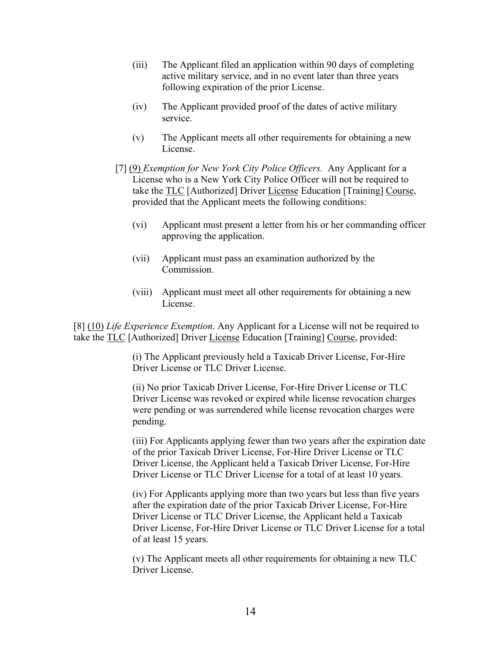- (iii) The Applicant filed an application within 90 days of completing active military service, and in no event later than three years following expiration of the prior License.
- (iv) The Applicant provided proof of the dates of active military service.
- (v) The Applicant meets all other requirements for obtaining a new License.
- [7] (9) *Exemption for New York City Police Officers.* Any Applicant for a License who is a New York City Police Officer will not be required to take the TLC [Authorized] Driver License Education [Training] Course, provided that the Applicant meets the following conditions:
	- (vi) Applicant must present a letter from his or her commanding officer approving the application.
	- (vii) Applicant must pass an examination authorized by the Commission.
	- (viii) Applicant must meet all other requirements for obtaining a new License.

[8] (10) *Life Experience Exemption*. Any Applicant for a License will not be required to take the TLC [Authorized] Driver License Education [Training] Course, provided:

> (i) The Applicant previously held a Taxicab Driver License, For-Hire Driver License or TLC Driver License.

(ii) No prior Taxicab Driver License, For-Hire Driver License or TLC Driver License was revoked or expired while license revocation charges were pending or was surrendered while license revocation charges were pending.

(iii) For Applicants applying fewer than two years after the expiration date of the prior Taxicab Driver License, For-Hire Driver License or TLC Driver License, the Applicant held a Taxicab Driver License, For-Hire Driver License or TLC Driver License for a total of at least 10 years.

(iv) For Applicants applying more than two years but less than five years after the expiration date of the prior Taxicab Driver License, For-Hire Driver License or TLC Driver License, the Applicant held a Taxicab Driver License, For-Hire Driver License or TLC Driver License for a total of at least 15 years.

(v) The Applicant meets all other requirements for obtaining a new TLC Driver License.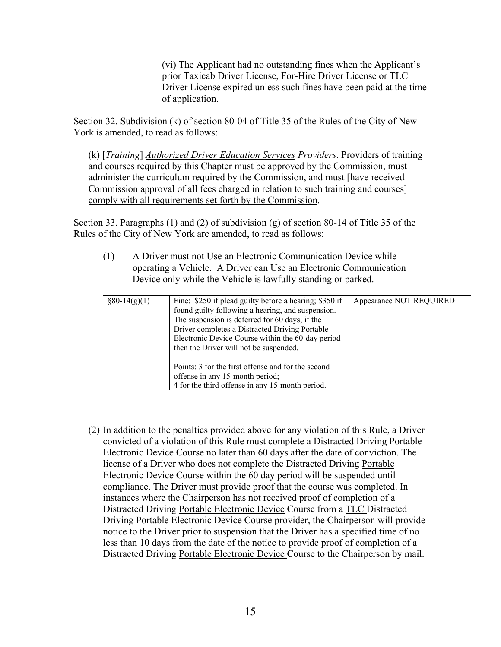(vi) The Applicant had no outstanding fines when the Applicant's prior Taxicab Driver License, For-Hire Driver License or TLC Driver License expired unless such fines have been paid at the time of application.

Section 32. Subdivision (k) of section 80-04 of Title 35 of the Rules of the City of New York is amended, to read as follows:

(k) [*Training*] *Authorized Driver Education Services Providers*. Providers of training and courses required by this Chapter must be approved by the Commission, must administer the curriculum required by the Commission, and must [have received Commission approval of all fees charged in relation to such training and courses] comply with all requirements set forth by the Commission.

Section 33. Paragraphs (1) and (2) of subdivision (g) of section 80-14 of Title 35 of the Rules of the City of New York are amended, to read as follows:

(1) A Driver must not Use an Electronic Communication Device while operating a Vehicle. A Driver can Use an Electronic Communication Device only while the Vehicle is lawfully standing or parked.

| $§80-14(g)(1)$ | Fine: \$250 if plead guilty before a hearing; \$350 if<br>found guilty following a hearing, and suspension.<br>The suspension is deferred for 60 days; if the<br>Driver completes a Distracted Driving Portable<br>Electronic Device Course within the 60-day period | Appearance NOT REQUIRED |
|----------------|----------------------------------------------------------------------------------------------------------------------------------------------------------------------------------------------------------------------------------------------------------------------|-------------------------|
|                | then the Driver will not be suspended.<br>Points: 3 for the first offense and for the second<br>offense in any 15-month period;<br>4 for the third offense in any 15-month period.                                                                                   |                         |

(2) In addition to the penalties provided above for any violation of this Rule, a Driver convicted of a violation of this Rule must complete a Distracted Driving Portable Electronic Device Course no later than 60 days after the date of conviction. The license of a Driver who does not complete the Distracted Driving Portable Electronic Device Course within the 60 day period will be suspended until compliance. The Driver must provide proof that the course was completed. In instances where the Chairperson has not received proof of completion of a Distracted Driving Portable Electronic Device Course from a TLC Distracted Driving Portable Electronic Device Course provider, the Chairperson will provide notice to the Driver prior to suspension that the Driver has a specified time of no less than 10 days from the date of the notice to provide proof of completion of a Distracted Driving Portable Electronic Device Course to the Chairperson by mail.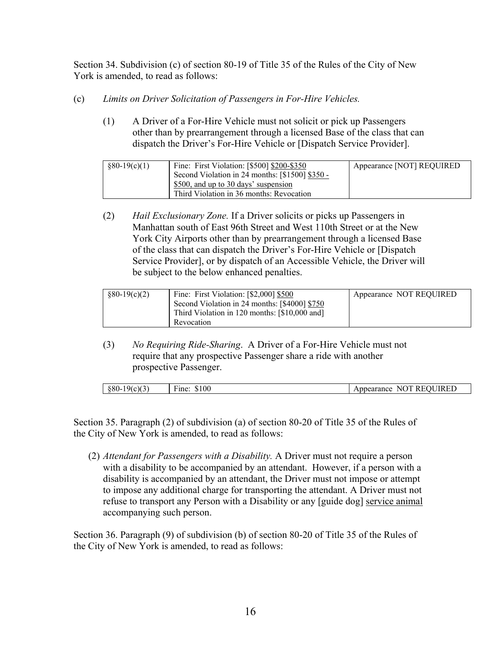Section 34. Subdivision (c) of section 80-19 of Title 35 of the Rules of the City of New York is amended, to read as follows:

- (c) *Limits on Driver Solicitation of Passengers in For-Hire Vehicles.*
	- (1) A Driver of a For-Hire Vehicle must not solicit or pick up Passengers other than by prearrangement through a licensed Base of the class that can dispatch the Driver's For-Hire Vehicle or [Dispatch Service Provider].

| $\frac{880-19(c)(1)}{c}$ | Fine: First Violation: [\$500] \$200-\$350<br>Second Violation in 24 months: [\$1500] \$350 - | Appearance [NOT] REQUIRED |
|--------------------------|-----------------------------------------------------------------------------------------------|---------------------------|
|                          | \$500, and up to 30 days' suspension<br>Third Violation in 36 months: Revocation              |                           |

(2) *Hail Exclusionary Zone.* If a Driver solicits or picks up Passengers in Manhattan south of East 96th Street and West 110th Street or at the New York City Airports other than by prearrangement through a licensed Base of the class that can dispatch the Driver's For-Hire Vehicle or [Dispatch Service Provider], or by dispatch of an Accessible Vehicle, the Driver will be subject to the below enhanced penalties.

| $\S 80 - 19(c)(2)$ | Fine: First Violation: [\$2,000] \$500        | Appearance NOT REQUIRED |
|--------------------|-----------------------------------------------|-------------------------|
|                    | Second Violation in 24 months: [\$4000] \$750 |                         |
|                    | Third Violation in 120 months: [\$10,000 and] |                         |
|                    | Revocation                                    |                         |

(3) *No Requiring Ride-Sharing*. A Driver of a For-Hire Vehicle must not require that any prospective Passenger share a ride with another prospective Passenger.

| $\overline{\phantom{a}}$<br>ີ II -<br>. .<br>v | $-$<br>100<br>$1 - 2 - 3 - 1$<br>. ше- | $\sim$ $\sim$<br>$\cdot$ $\cdot$<br>-<br>$\blacksquare$<br>чка<br>r.<br>. |
|------------------------------------------------|----------------------------------------|---------------------------------------------------------------------------|

Section 35. Paragraph (2) of subdivision (a) of section 80-20 of Title 35 of the Rules of the City of New York is amended, to read as follows:

(2) *Attendant for Passengers with a Disability.* A Driver must not require a person with a disability to be accompanied by an attendant. However, if a person with a disability is accompanied by an attendant, the Driver must not impose or attempt to impose any additional charge for transporting the attendant. A Driver must not refuse to transport any Person with a Disability or any [guide dog] service animal accompanying such person.

Section 36. Paragraph (9) of subdivision (b) of section 80-20 of Title 35 of the Rules of the City of New York is amended, to read as follows: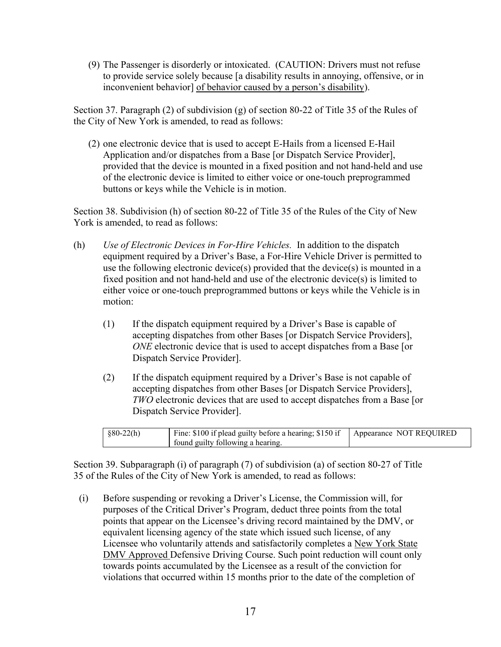(9) The Passenger is disorderly or intoxicated. (CAUTION: Drivers must not refuse to provide service solely because [a disability results in annoying, offensive, or in inconvenient behavior] of behavior caused by a person's disability).

Section 37. Paragraph (2) of subdivision (g) of section 80-22 of Title 35 of the Rules of the City of New York is amended, to read as follows:

(2) one electronic device that is used to accept E-Hails from a licensed E-Hail Application and/or dispatches from a Base [or Dispatch Service Provider], provided that the device is mounted in a fixed position and not hand-held and use of the electronic device is limited to either voice or one-touch preprogrammed buttons or keys while the Vehicle is in motion.

Section 38. Subdivision (h) of section 80-22 of Title 35 of the Rules of the City of New York is amended, to read as follows:

- (h) *Use of Electronic Devices in For-Hire Vehicles.* In addition to the dispatch equipment required by a Driver's Base, a For-Hire Vehicle Driver is permitted to use the following electronic device(s) provided that the device(s) is mounted in a fixed position and not hand-held and use of the electronic device(s) is limited to either voice or one-touch preprogrammed buttons or keys while the Vehicle is in motion:
	- (1) If the dispatch equipment required by a Driver's Base is capable of accepting dispatches from other Bases [or Dispatch Service Providers], *ONE* electronic device that is used to accept dispatches from a Base [or Dispatch Service Provider].
	- (2) If the dispatch equipment required by a Driver's Base is not capable of accepting dispatches from other Bases [or Dispatch Service Providers], *TWO* electronic devices that are used to accept dispatches from a Base [or Dispatch Service Provider].

| $§80-22(h)$ | Fine: \$100 if plead guilty before a hearing; \$150 if | Appearance NOT REQUIRED |
|-------------|--------------------------------------------------------|-------------------------|
|             | found guilty following a hearing.                      |                         |

Section 39. Subparagraph (i) of paragraph (7) of subdivision (a) of section 80-27 of Title 35 of the Rules of the City of New York is amended, to read as follows:

(i) Before suspending or revoking a Driver's License, the Commission will, for purposes of the Critical Driver's Program, deduct three points from the total points that appear on the Licensee's driving record maintained by the DMV, or equivalent licensing agency of the state which issued such license, of any Licensee who voluntarily attends and satisfactorily completes a New York State DMV Approved Defensive Driving Course. Such point reduction will count only towards points accumulated by the Licensee as a result of the conviction for violations that occurred within 15 months prior to the date of the completion of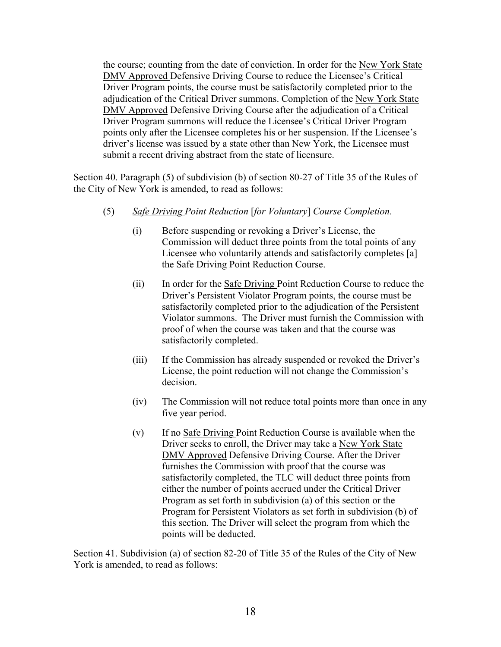the course; counting from the date of conviction. In order for the New York State DMV Approved Defensive Driving Course to reduce the Licensee's Critical Driver Program points, the course must be satisfactorily completed prior to the adjudication of the Critical Driver summons. Completion of the New York State DMV Approved Defensive Driving Course after the adjudication of a Critical Driver Program summons will reduce the Licensee's Critical Driver Program points only after the Licensee completes his or her suspension. If the Licensee's driver's license was issued by a state other than New York, the Licensee must submit a recent driving abstract from the state of licensure.

Section 40. Paragraph (5) of subdivision (b) of section 80-27 of Title 35 of the Rules of the City of New York is amended, to read as follows:

- (5) *Safe Driving Point Reduction* [*for Voluntary*] *Course Completion.* 
	- (i) Before suspending or revoking a Driver's License, the Commission will deduct three points from the total points of any Licensee who voluntarily attends and satisfactorily completes [a] the Safe Driving Point Reduction Course.
	- (ii) In order for the Safe Driving Point Reduction Course to reduce the Driver's Persistent Violator Program points, the course must be satisfactorily completed prior to the adjudication of the Persistent Violator summons. The Driver must furnish the Commission with proof of when the course was taken and that the course was satisfactorily completed.
	- (iii) If the Commission has already suspended or revoked the Driver's License, the point reduction will not change the Commission's decision.
	- (iv) The Commission will not reduce total points more than once in any five year period.
	- (v) If no Safe Driving Point Reduction Course is available when the Driver seeks to enroll, the Driver may take a New York State DMV Approved Defensive Driving Course. After the Driver furnishes the Commission with proof that the course was satisfactorily completed, the TLC will deduct three points from either the number of points accrued under the Critical Driver Program as set forth in subdivision (a) of this section or the Program for Persistent Violators as set forth in subdivision (b) of this section. The Driver will select the program from which the points will be deducted.

Section 41. Subdivision (a) of section 82-20 of Title 35 of the Rules of the City of New York is amended, to read as follows: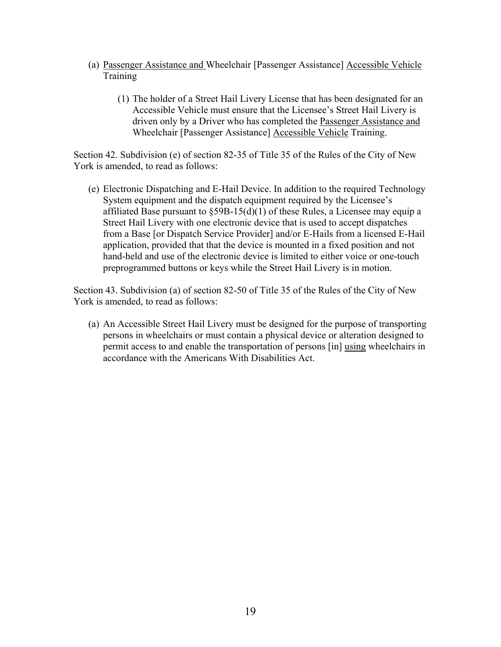- (a) Passenger Assistance and Wheelchair [Passenger Assistance] Accessible Vehicle Training
	- (1) The holder of a Street Hail Livery License that has been designated for an Accessible Vehicle must ensure that the Licensee's Street Hail Livery is driven only by a Driver who has completed the Passenger Assistance and Wheelchair [Passenger Assistance] Accessible Vehicle Training.

Section 42. Subdivision (e) of section 82-35 of Title 35 of the Rules of the City of New York is amended, to read as follows:

(e) Electronic Dispatching and E-Hail Device. In addition to the required Technology System equipment and the dispatch equipment required by the Licensee's affiliated Base pursuant to  $\S 59B-15(d)(1)$  of these Rules, a Licensee may equip a Street Hail Livery with one electronic device that is used to accept dispatches from a Base [or Dispatch Service Provider] and/or E-Hails from a licensed E-Hail application, provided that that the device is mounted in a fixed position and not hand-held and use of the electronic device is limited to either voice or one-touch preprogrammed buttons or keys while the Street Hail Livery is in motion.

Section 43. Subdivision (a) of section 82-50 of Title 35 of the Rules of the City of New York is amended, to read as follows:

(a) An Accessible Street Hail Livery must be designed for the purpose of transporting persons in wheelchairs or must contain a physical device or alteration designed to permit access to and enable the transportation of persons [in] using wheelchairs in accordance with the Americans With Disabilities Act.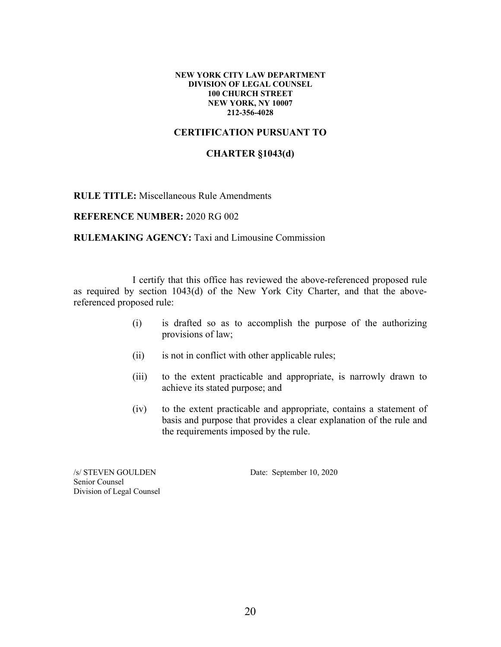#### **NEW YORK CITY LAW DEPARTMENT DIVISION OF LEGAL COUNSEL 100 CHURCH STREET NEW YORK, NY 10007 212-356-4028**

### **CERTIFICATION PURSUANT TO**

### **CHARTER §1043(d)**

**RULE TITLE:** Miscellaneous Rule Amendments

**REFERENCE NUMBER:** 2020 RG 002

**RULEMAKING AGENCY:** Taxi and Limousine Commission

 I certify that this office has reviewed the above-referenced proposed rule as required by section 1043(d) of the New York City Charter, and that the abovereferenced proposed rule:

- (i) is drafted so as to accomplish the purpose of the authorizing provisions of law;
- (ii) is not in conflict with other applicable rules;
- (iii) to the extent practicable and appropriate, is narrowly drawn to achieve its stated purpose; and
- (iv) to the extent practicable and appropriate, contains a statement of basis and purpose that provides a clear explanation of the rule and the requirements imposed by the rule.

Senior Counsel Division of Legal Counsel

/s/ STEVEN GOULDEN Date: September 10, 2020